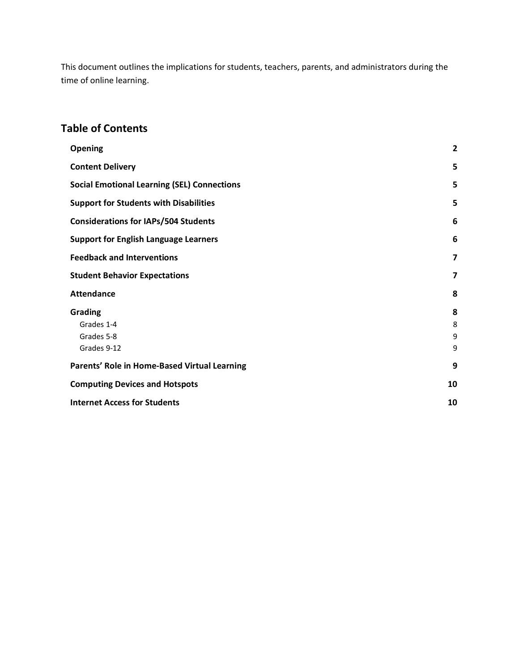This document outlines the implications for students, teachers, parents, and administrators during the time of online learning.

#### **Table of Contents**

| <b>Opening</b>                                            | $\overline{2}$          |
|-----------------------------------------------------------|-------------------------|
| <b>Content Delivery</b>                                   | 5                       |
| <b>Social Emotional Learning (SEL) Connections</b>        | 5                       |
| <b>Support for Students with Disabilities</b>             | 5                       |
| <b>Considerations for IAPs/504 Students</b>               | 6                       |
| <b>Support for English Language Learners</b>              | 6                       |
| <b>Feedback and Interventions</b>                         | $\overline{\mathbf{z}}$ |
| <b>Student Behavior Expectations</b>                      | $\overline{\mathbf{z}}$ |
| <b>Attendance</b>                                         | 8                       |
| <b>Grading</b><br>Grades 1-4<br>Grades 5-8<br>Grades 9-12 | 8<br>8<br>9<br>9        |
| Parents' Role in Home-Based Virtual Learning              | 9                       |
| <b>Computing Devices and Hotspots</b>                     | 10                      |
| <b>Internet Access for Students</b>                       | 10                      |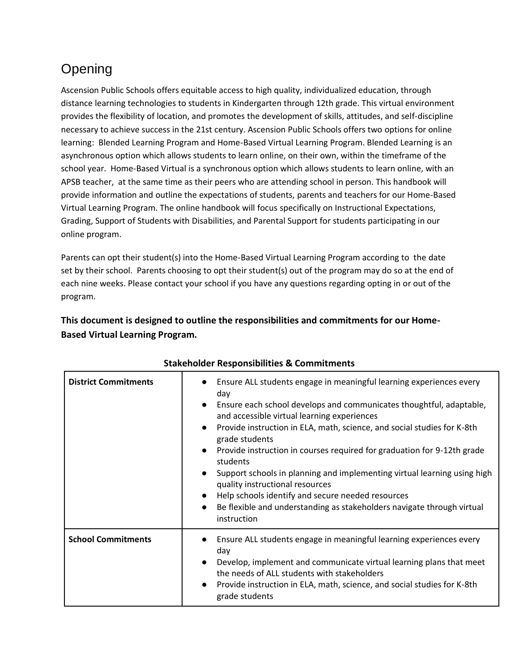# <span id="page-1-0"></span>Opening

Ascension Public Schools offers equitable access to high quality, individualized education, through distance learning technologies to students in Kindergarten through 12th grade. This virtual environment provides the flexibility of location, and promotes the development of skills, attitudes, and self-discipline necessary to achieve success in the 21st century. Ascension Public Schools offers two options for online learning: Blended Learning Program and Home-Based Virtual Learning Program. Blended Learning is an asynchronous option which allows students to learn online, on their own, within the timeframe of the school year. Home-Based Virtual is a synchronous option which allows students to learn online, with an APSB teacher, at the same time as their peers who are attending school in person. This handbook will provide information and outline the expectations of students, parents and teachers for our Home-Based Virtual Learning Program. The online handbook will focus specifically on Instructional Expectations, Grading, Support of Students with Disabilities, and Parental Support for students participating in our online program.

Parents can opt their student(s) into the Home-Based Virtual Learning Program according to the date set by their school. Parents choosing to opt their student(s) out of the program may do so at the end of each nine weeks. Please contact your school if you have any questions regarding opting in or out of the program.

**This document is designed to outline the responsibilities and commitments for our Home-Based Virtual Learning Program.**

| <b>District Commitments</b> | Ensure ALL students engage in meaningful learning experiences every<br>day<br>Ensure each school develops and communicates thoughtful, adaptable,<br>$\bullet$<br>and accessible virtual learning experiences<br>Provide instruction in ELA, math, science, and social studies for K-8th<br>$\bullet$<br>grade students<br>Provide instruction in courses required for graduation for 9-12th grade<br>$\bullet$<br>students<br>Support schools in planning and implementing virtual learning using high<br>$\bullet$<br>quality instructional resources<br>Help schools identify and secure needed resources<br>$\bullet$<br>Be flexible and understanding as stakeholders navigate through virtual<br>$\bullet$<br>instruction |
|-----------------------------|---------------------------------------------------------------------------------------------------------------------------------------------------------------------------------------------------------------------------------------------------------------------------------------------------------------------------------------------------------------------------------------------------------------------------------------------------------------------------------------------------------------------------------------------------------------------------------------------------------------------------------------------------------------------------------------------------------------------------------|
| <b>School Commitments</b>   | Ensure ALL students engage in meaningful learning experiences every<br>day<br>Develop, implement and communicate virtual learning plans that meet<br>$\bullet$<br>the needs of ALL students with stakeholders<br>Provide instruction in ELA, math, science, and social studies for K-8th<br>$\bullet$<br>grade students                                                                                                                                                                                                                                                                                                                                                                                                         |

#### **Stakeholder Responsibilities & Commitments**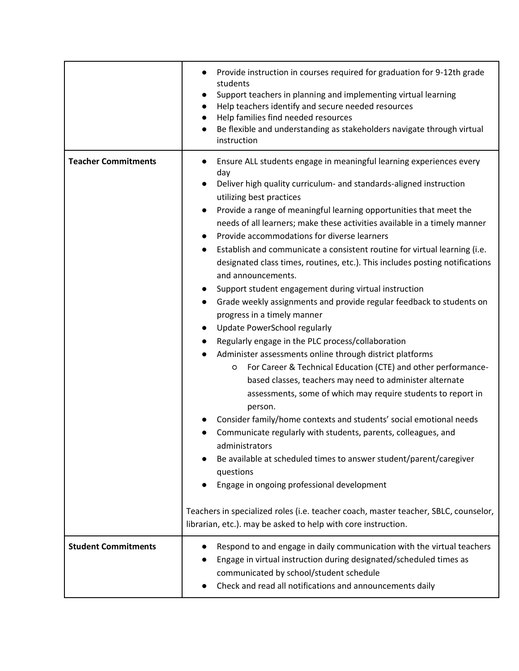|                            | Provide instruction in courses required for graduation for 9-12th grade<br>students<br>Support teachers in planning and implementing virtual learning<br>Help teachers identify and secure needed resources<br>Help families find needed resources<br>Be flexible and understanding as stakeholders navigate through virtual<br>instruction                                                                                                                                                                                                                                                                                                                                                                                                                                                                                                                                                                                                                                                                                                                                                                                                                                                                                                                                                                                                                                                                                                                                                                                                                    |
|----------------------------|----------------------------------------------------------------------------------------------------------------------------------------------------------------------------------------------------------------------------------------------------------------------------------------------------------------------------------------------------------------------------------------------------------------------------------------------------------------------------------------------------------------------------------------------------------------------------------------------------------------------------------------------------------------------------------------------------------------------------------------------------------------------------------------------------------------------------------------------------------------------------------------------------------------------------------------------------------------------------------------------------------------------------------------------------------------------------------------------------------------------------------------------------------------------------------------------------------------------------------------------------------------------------------------------------------------------------------------------------------------------------------------------------------------------------------------------------------------------------------------------------------------------------------------------------------------|
| <b>Teacher Commitments</b> | Ensure ALL students engage in meaningful learning experiences every<br>$\bullet$<br>day<br>Deliver high quality curriculum- and standards-aligned instruction<br>utilizing best practices<br>Provide a range of meaningful learning opportunities that meet the<br>needs of all learners; make these activities available in a timely manner<br>Provide accommodations for diverse learners<br>$\bullet$<br>Establish and communicate a consistent routine for virtual learning (i.e.<br>$\bullet$<br>designated class times, routines, etc.). This includes posting notifications<br>and announcements.<br>Support student engagement during virtual instruction<br>$\bullet$<br>Grade weekly assignments and provide regular feedback to students on<br>progress in a timely manner<br>Update PowerSchool regularly<br>$\bullet$<br>Regularly engage in the PLC process/collaboration<br>Administer assessments online through district platforms<br>$\bullet$<br>For Career & Technical Education (CTE) and other performance-<br>O<br>based classes, teachers may need to administer alternate<br>assessments, some of which may require students to report in<br>person.<br>Consider family/home contexts and students' social emotional needs<br>Communicate regularly with students, parents, colleagues, and<br>administrators<br>Be available at scheduled times to answer student/parent/caregiver<br>questions<br>Engage in ongoing professional development<br>Teachers in specialized roles (i.e. teacher coach, master teacher, SBLC, counselor, |
|                            | librarian, etc.). may be asked to help with core instruction.                                                                                                                                                                                                                                                                                                                                                                                                                                                                                                                                                                                                                                                                                                                                                                                                                                                                                                                                                                                                                                                                                                                                                                                                                                                                                                                                                                                                                                                                                                  |
| <b>Student Commitments</b> | Respond to and engage in daily communication with the virtual teachers<br>Engage in virtual instruction during designated/scheduled times as<br>communicated by school/student schedule<br>Check and read all notifications and announcements daily                                                                                                                                                                                                                                                                                                                                                                                                                                                                                                                                                                                                                                                                                                                                                                                                                                                                                                                                                                                                                                                                                                                                                                                                                                                                                                            |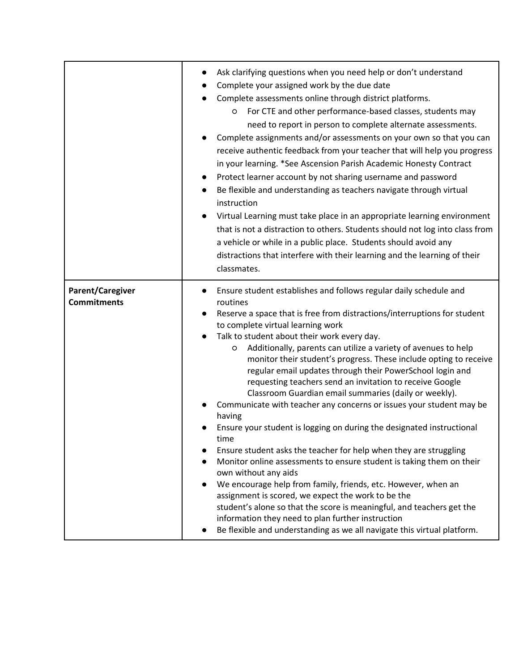|                                               | Ask clarifying questions when you need help or don't understand<br>Complete your assigned work by the due date<br>Complete assessments online through district platforms.<br>For CTE and other performance-based classes, students may<br>$\circ$<br>need to report in person to complete alternate assessments.<br>Complete assignments and/or assessments on your own so that you can<br>receive authentic feedback from your teacher that will help you progress<br>in your learning. *See Ascension Parish Academic Honesty Contract<br>Protect learner account by not sharing username and password<br>Be flexible and understanding as teachers navigate through virtual<br>instruction<br>Virtual Learning must take place in an appropriate learning environment<br>that is not a distraction to others. Students should not log into class from<br>a vehicle or while in a public place. Students should avoid any<br>distractions that interfere with their learning and the learning of their<br>classmates.                                                                                                                                                                                                                            |
|-----------------------------------------------|----------------------------------------------------------------------------------------------------------------------------------------------------------------------------------------------------------------------------------------------------------------------------------------------------------------------------------------------------------------------------------------------------------------------------------------------------------------------------------------------------------------------------------------------------------------------------------------------------------------------------------------------------------------------------------------------------------------------------------------------------------------------------------------------------------------------------------------------------------------------------------------------------------------------------------------------------------------------------------------------------------------------------------------------------------------------------------------------------------------------------------------------------------------------------------------------------------------------------------------------------|
| <b>Parent/Caregiver</b><br><b>Commitments</b> | Ensure student establishes and follows regular daily schedule and<br>routines<br>Reserve a space that is free from distractions/interruptions for student<br>to complete virtual learning work<br>Talk to student about their work every day.<br>Additionally, parents can utilize a variety of avenues to help<br>O<br>monitor their student's progress. These include opting to receive<br>regular email updates through their PowerSchool login and<br>requesting teachers send an invitation to receive Google<br>Classroom Guardian email summaries (daily or weekly).<br>Communicate with teacher any concerns or issues your student may be<br>having<br>Ensure your student is logging on during the designated instructional<br>time<br>Ensure student asks the teacher for help when they are struggling<br>Monitor online assessments to ensure student is taking them on their<br>own without any aids<br>We encourage help from family, friends, etc. However, when an<br>assignment is scored, we expect the work to be the<br>student's alone so that the score is meaningful, and teachers get the<br>information they need to plan further instruction<br>Be flexible and understanding as we all navigate this virtual platform. |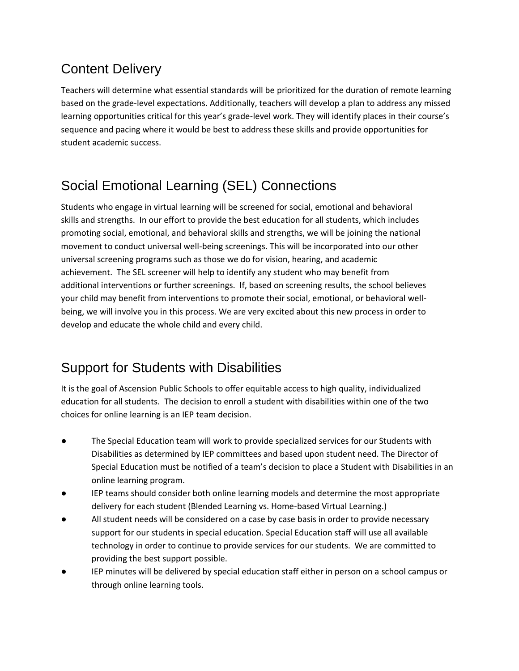## <span id="page-4-0"></span>Content Delivery

Teachers will determine what essential standards will be prioritized for the duration of remote learning based on the grade-level expectations. Additionally, teachers will develop a plan to address any missed learning opportunities critical for this year's grade-level work. They will identify places in their course's sequence and pacing where it would be best to address these skills and provide opportunities for student academic success.

## <span id="page-4-1"></span>Social Emotional Learning (SEL) Connections

Students who engage in virtual learning will be screened for social, emotional and behavioral skills and strengths. In our effort to provide the best education for all students, which includes promoting social, emotional, and behavioral skills and strengths, we will be joining the national movement to conduct universal well-being screenings. This will be incorporated into our other universal screening programs such as those we do for vision, hearing, and academic achievement. The SEL screener will help to identify any student who may benefit from additional interventions or further screenings. If, based on screening results, the school believes your child may benefit from interventions to promote their social, emotional, or behavioral wellbeing, we will involve you in this process. We are very excited about this new process in order to develop and educate the whole child and every child.

## <span id="page-4-2"></span>Support for Students with Disabilities

It is the goal of Ascension Public Schools to offer equitable access to high quality, individualized education for all students. The decision to enroll a student with disabilities within one of the two choices for online learning is an IEP team decision.

- The Special Education team will work to provide specialized services for our Students with Disabilities as determined by IEP committees and based upon student need. The Director of Special Education must be notified of a team's decision to place a Student with Disabilities in an online learning program.
- IEP teams should consider both online learning models and determine the most appropriate delivery for each student (Blended Learning vs. Home-based Virtual Learning.)
- All student needs will be considered on a case by case basis in order to provide necessary support for our students in special education. Special Education staff will use all available technology in order to continue to provide services for our students. We are committed to providing the best support possible.
- IEP minutes will be delivered by special education staff either in person on a school campus or through online learning tools.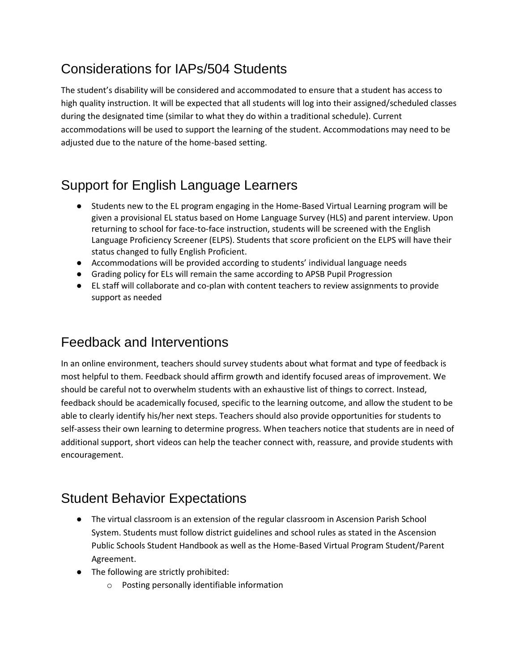### <span id="page-5-0"></span>Considerations for IAPs/504 Students

The student's disability will be considered and accommodated to ensure that a student has access to high quality instruction. It will be expected that all students will log into their assigned/scheduled classes during the designated time (similar to what they do within a traditional schedule). Current accommodations will be used to support the learning of the student. Accommodations may need to be adjusted due to the nature of the home-based setting.

## <span id="page-5-1"></span>Support for English Language Learners

- Students new to the EL program engaging in the Home-Based Virtual Learning program will be given a provisional EL status based on Home Language Survey (HLS) and parent interview. Upon returning to school for face-to-face instruction, students will be screened with the English Language Proficiency Screener (ELPS). Students that score proficient on the ELPS will have their status changed to fully English Proficient.
- Accommodations will be provided according to students' individual language needs
- Grading policy for ELs will remain the same according to APSB Pupil Progression
- EL staff will collaborate and co-plan with content teachers to review assignments to provide support as needed

### <span id="page-5-2"></span>Feedback and Interventions

In an online environment, teachers should survey students about what format and type of feedback is most helpful to them. Feedback should affirm growth and identify focused areas of improvement. We should be careful not to overwhelm students with an exhaustive list of things to correct. Instead, feedback should be academically focused, specific to the learning outcome, and allow the student to be able to clearly identify his/her next steps. Teachers should also provide opportunities for students to self-assess their own learning to determine progress. When teachers notice that students are in need of additional support, short videos can help the teacher connect with, reassure, and provide students with encouragement.

### <span id="page-5-3"></span>Student Behavior Expectations

- The virtual classroom is an extension of the regular classroom in Ascension Parish School System. Students must follow district guidelines and school rules as stated in the Ascension Public Schools Student Handbook as well as the Home-Based Virtual Program Student/Parent Agreement.
- The following are strictly prohibited:
	- o Posting personally identifiable information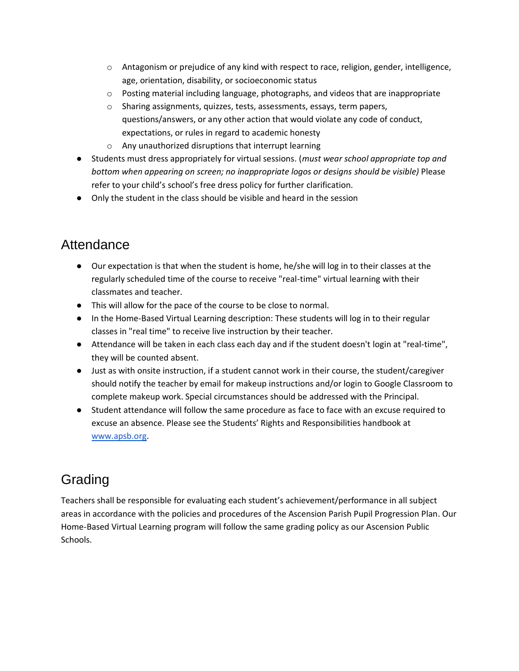- $\circ$  Antagonism or prejudice of any kind with respect to race, religion, gender, intelligence, age, orientation, disability, or socioeconomic status
- $\circ$  Posting material including language, photographs, and videos that are inappropriate
- o Sharing assignments, quizzes, tests, assessments, essays, term papers, questions/answers, or any other action that would violate any code of conduct, expectations, or rules in regard to academic honesty
- o Any unauthorized disruptions that interrupt learning
- Students must dress appropriately for virtual sessions. (*must wear school appropriate top and bottom when appearing on screen; no inappropriate logos or designs should be visible)* Please refer to your child's school's free dress policy for further clarification.
- Only the student in the class should be visible and heard in the session

### <span id="page-6-0"></span>Attendance

- Our expectation is that when the student is home, he/she will log in to their classes at the regularly scheduled time of the course to receive "real-time" virtual learning with their classmates and teacher.
- This will allow for the pace of the course to be close to normal.
- In the Home-Based Virtual Learning description: These students will log in to their regular classes in "real time" to receive live instruction by their teacher.
- Attendance will be taken in each class each day and if the student doesn't login at "real-time", they will be counted absent.
- Just as with onsite instruction, if a student cannot work in their course, the student/caregiver should notify the teacher by email for makeup instructions and/or login to Google Classroom to complete makeup work. Special circumstances should be addressed with the Principal.
- Student attendance will follow the same procedure as face to face with an excuse required to excuse an absence. Please see the Students' Rights and Responsibilities handbook at [www.apsb.org.](http://www.apsb.org/)

## <span id="page-6-1"></span>Grading

Teachers shall be responsible for evaluating each student's achievement/performance in all subject areas in accordance with the policies and procedures of the Ascension Parish Pupil Progression Plan. Our Home-Based Virtual Learning program will follow the same grading policy as our Ascension Public Schools.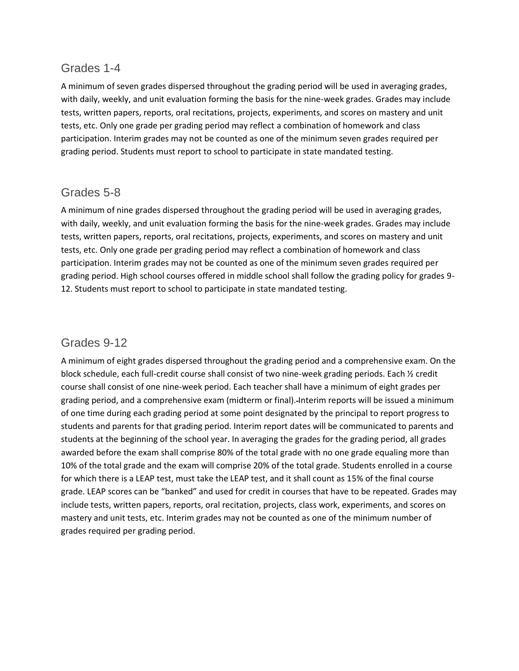#### <span id="page-7-0"></span>Grades 1-4

A minimum of seven grades dispersed throughout the grading period will be used in averaging grades, with daily, weekly, and unit evaluation forming the basis for the nine-week grades. Grades may include tests, written papers, reports, oral recitations, projects, experiments, and scores on mastery and unit tests, etc. Only one grade per grading period may reflect a combination of homework and class participation. Interim grades may not be counted as one of the minimum seven grades required per grading period. Students must report to school to participate in state mandated testing.

#### <span id="page-7-1"></span>Grades 5-8

A minimum of nine grades dispersed throughout the grading period will be used in averaging grades, with daily, weekly, and unit evaluation forming the basis for the nine-week grades. Grades may include tests, written papers, reports, oral recitations, projects, experiments, and scores on mastery and unit tests, etc. Only one grade per grading period may reflect a combination of homework and class participation. Interim grades may not be counted as one of the minimum seven grades required per grading period. High school courses offered in middle school shall follow the grading policy for grades 9- 12. Students must report to school to participate in state mandated testing.

#### <span id="page-7-2"></span>Grades 9-12

A minimum of eight grades dispersed throughout the grading period and a comprehensive exam. On the block schedule, each full-credit course shall consist of two nine-week grading periods. Each ½ credit course shall consist of one nine-week period. Each teacher shall have a minimum of eight grades per grading period, and a comprehensive exam (midterm or final). Interim reports will be issued a minimum of one time during each grading period at some point designated by the principal to report progress to students and parents for that grading period. Interim report dates will be communicated to parents and students at the beginning of the school year. In averaging the grades for the grading period, all grades awarded before the exam shall comprise 80% of the total grade with no one grade equaling more than 10% of the total grade and the exam will comprise 20% of the total grade. Students enrolled in a course for which there is a LEAP test, must take the LEAP test, and it shall count as 15% of the final course grade. LEAP scores can be "banked" and used for credit in courses that have to be repeated. Grades may include tests, written papers, reports, oral recitation, projects, class work, experiments, and scores on mastery and unit tests, etc. Interim grades may not be counted as one of the minimum number of grades required per grading period.